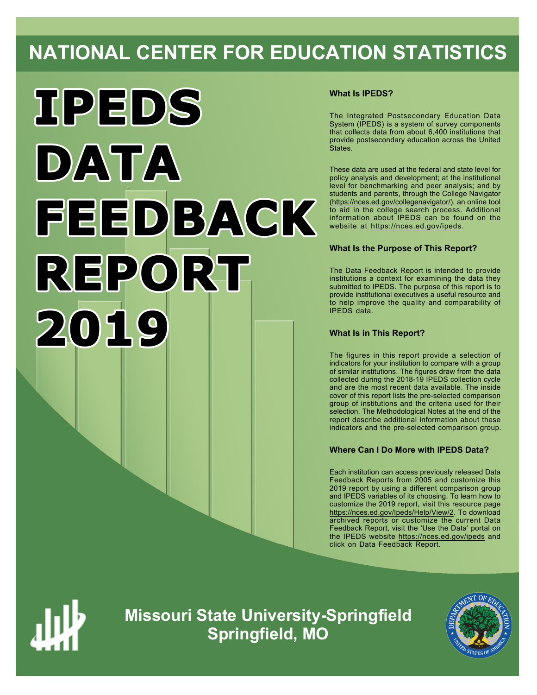# **NATIONAL CENTER FOR EDUCATION STATISTICS**



## **What Is IPEDS?**

The Integrated Postsecondary Education Data System (IPEDS) is a system of survey components that collects data from about 6,400 institutions that provide postsecondary education across the United States.

These data are used at the federal and state level for policy analysis and development; at the institutional level for benchmarking and peer analysis; and by students and parents, through the College Navigator (https://nces.ed.gov/collegenavigator/), an online tool to aid in the college search process. Additional information about IPEDS can be found on the website at https://nces.ed.gov/ipeds.

## **What Is the Purpose of This Report?**

The Data Feedback Report is intended to provide institutions a context for examining the data they submitted to IPEDS. The purpose of this report is to provide institutional executives a useful resource and to help improve the quality and comparability of IPEDS data.

## **What Is in This Report?**

The figures in this report provide a selection of indicators for your institution to compare with a group of similar institutions. The figures draw from the data collected during the 2018-19 IPEDS collection cycle and are the most recent data available. The inside cover of this report lists the pre-selected comparison group of institutions and the criteria used for their selection. The Methodological Notes at the end of the report describe additional information about these indicators and the pre-selected comparison group.

## **Where Can I Do More with IPEDS Data?**

Each institution can access previously released Data Feedback Reports from 2005 and customize this 2019 report by using a different comparison group and IPEDS variables of its choosing. To learn how to customize the 2019 report, visit this resource page https://nces.ed.gov/Ipeds/Help/View/2. To download archived reports or customize the current Data Feedback Report, visit the 'Use the Data' portal on the IPEDS website https://nces.ed.gov/ipeds and click on Data Feedback Report.



**Missouri State University-Springfield Springfield, MO**

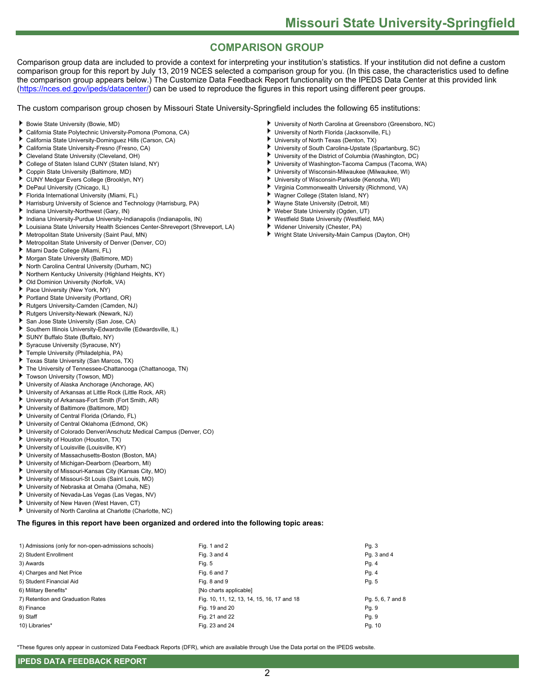## **COMPARISON GROUP**

Comparison group data are included to provide a context for interpreting your institution's statistics. If your institution did not define a custom comparison group for this report by July 13, 2019 NCES selected a comparison group for you. (In this case, the characteristics used to define the comparison group appears below.) The Customize Data Feedback Report functionality on the IPEDS Data Center at this provided link (https://nces.ed.gov/ipeds/datacenter/) can be used to reproduce the figures in this report using different peer groups.

The custom comparison group chosen by Missouri State University-Springfield includes the following 65 institutions:

- Bowie State University (Bowie, MD)
- ٠ California State Polytechnic University-Pomona (Pomona, CA)
- California State University-Dominguez Hills (Carson, CA)
- California State University-Fresno (Fresno, CA)
- Cleveland State University (Cleveland, OH)
- ь College of Staten Island CUNY (Staten Island, NY)
- Coppin State University (Baltimore, MD)
- CUNY Medgar Evers College (Brooklyn, NY)
- DePaul University (Chicago, IL)
- Florida International University (Miami, FL)
- Harrisburg University of Science and Technology (Harrisburg, PA)
- Indiana University-Northwest (Gary, IN)
- Indiana University-Purdue University-Indianapolis (Indianapolis, IN)
- Louisiana State University Health Sciences Center-Shreveport (Shreveport, LA)
- Metropolitan State University (Saint Paul, MN)
- ٠ Metropolitan State University of Denver (Denver, CO)
- Miami Dade College (Miami, FL)
- Morgan State University (Baltimore, MD)
- North Carolina Central University (Durham, NC)
- Northern Kentucky University (Highland Heights, KY)
- Old Dominion University (Norfolk, VA)
- Pace University (New York, NY)
- Portland State University (Portland, OR)
- Rutgers University-Camden (Camden, NJ)
- Rutgers University-Newark (Newark, NJ)
- San Jose State University (San Jose, CA)
- Southern Illinois University-Edwardsville (Edwardsville, IL)
- SUNY Buffalo State (Buffalo, NY)
- Syracuse University (Syracuse, NY)
- Temple University (Philadelphia, PA)
- Texas State University (San Marcos, TX)
- The University of Tennessee-Chattanooga (Chattanooga, TN) ٠
- Towson University (Towson, MD)
- University of Alaska Anchorage (Anchorage, AK)
- University of Arkansas at Little Rock (Little Rock, AR)
- University of Arkansas-Fort Smith (Fort Smith, AR)
- University of Baltimore (Baltimore, MD)
- University of Central Florida (Orlando, FL)
- University of Central Oklahoma (Edmond, OK)
- University of Colorado Denver/Anschutz Medical Campus (Denver, CO)
- University of Houston (Houston, TX)
- University of Louisville (Louisville, KY)
- University of Massachusetts-Boston (Boston, MA)
- University of Michigan-Dearborn (Dearborn, MI)
- University of Missouri-Kansas City (Kansas City, MO)
- ь University of Missouri-St Louis (Saint Louis, MO)
- University of Nebraska at Omaha (Omaha, NE)
- University of Nevada-Las Vegas (Las Vegas, NV)
- University of New Haven (West Haven, CT)
- University of North Carolina at Charlotte (Charlotte, NC)

**The figures in this report have been organized and ordered into the following topic areas:**

| 1) Admissions (only for non-open-admissions schools) | Fig. 1 and 2                               | Pg.3              |
|------------------------------------------------------|--------------------------------------------|-------------------|
| 2) Student Enrollment                                | Fig. 3 and 4                               | Pq. 3 and 4       |
| 3) Awards                                            | Fig. 5                                     | Pg. 4             |
| 4) Charges and Net Price                             | Fig. 6 and 7                               | Pg. 4             |
| 5) Student Financial Aid                             | Fig. 8 and 9                               | Pg. 5             |
| 6) Military Benefits*                                | [No charts applicable]                     |                   |
| 7) Retention and Graduation Rates                    | Fig. 10, 11, 12, 13, 14, 15, 16, 17 and 18 | Pg. 5, 6, 7 and 8 |
| 8) Finance                                           | Fig. 19 and 20                             | Pg. 9             |
| 9) Staff                                             | Fig. 21 and 22                             | Pg. 9             |
| 10) Libraries*                                       | Fig. 23 and 24                             | Pg. 10            |

\*These figures only appear in customized Data Feedback Reports (DFR), which are available through Use the Data portal on the IPEDS website.

2

- University of North Carolina at Greensboro (Greensboro, NC)
- University of North Florida (Jacksonville, FL)
- University of North Texas (Denton, TX)
- University of South Carolina-Upstate (Spartanburg, SC)
- University of the District of Columbia (Washington, DC)
- University of Washington-Tacoma Campus (Tacoma, WA)
- University of Wisconsin-Milwaukee (Milwaukee, WI) University of Wisconsin-Parkside (Kenosha, WI)
- ٠ Virginia Commonwealth University (Richmond, VA)
- Wagner College (Staten Island, NY)
- Wayne State University (Detroit, MI)
- ٠ Weber State University (Ogden, UT)
- Westfield State University (Westfield, MA)
- ٠ Widener University (Chester, PA)
- Wright State University-Main Campus (Dayton, OH)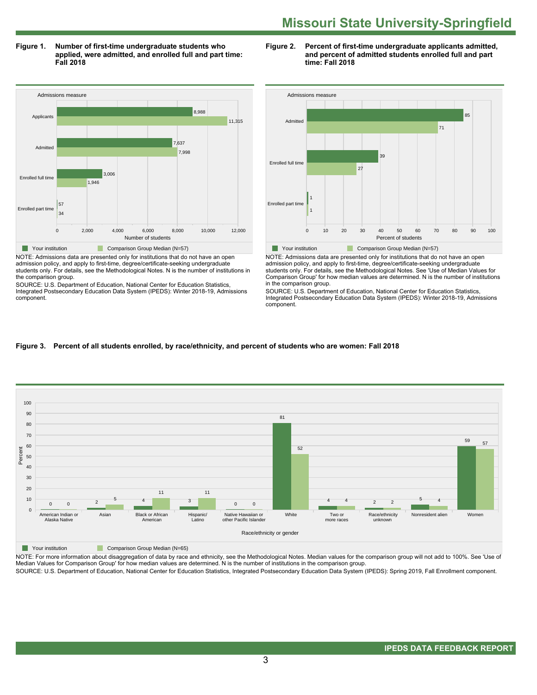**Figure 1. Number of first-time undergraduate students who applied, were admitted, and enrolled full and part time: Fall 2018**



admission policy, and apply to first-time, degree/certificate-seeking undergraduate students only. For details, see the Methodological Notes. N is the number of institutions in the comparison group.

SOURCE: U.S. Department of Education, National Center for Education Statistics, Integrated Postsecondary Education Data System (IPEDS): Winter 2018-19, Admissions component.

### **Figure 2. Percent of first-time undergraduate applicants admitted, and percent of admitted students enrolled full and part time: Fall 2018**



NOTE: Admissions data are presented only for institutions that do not have an open admission policy, and apply to first-time, degree/certificate-seeking undergraduate students only. For details, see the Methodological Notes. See 'Use of Median Values for Comparison Group' for how median values are determined. N is the number of institutions in the comparison group.

SOURCE: U.S. Department of Education, National Center for Education Statistics, Integrated Postsecondary Education Data System (IPEDS): Winter 2018-19, Admissions component.

## **Figure 3. Percent of all students enrolled, by race/ethnicity, and percent of students who are women: Fall 2018**



**Your institution** Comparison Group Median (N=65)

NOTE: For more information about disaggregation of data by race and ethnicity, see the Methodological Notes. Median values for the comparison group will not add to 100%. See 'Use of Median Values for Comparison Group' for how median values are determined. N is the number of institutions in the comparison group.

SOURCE: U.S. Department of Education, National Center for Education Statistics, Integrated Postsecondary Education Data System (IPEDS): Spring 2019, Fall Enrollment component.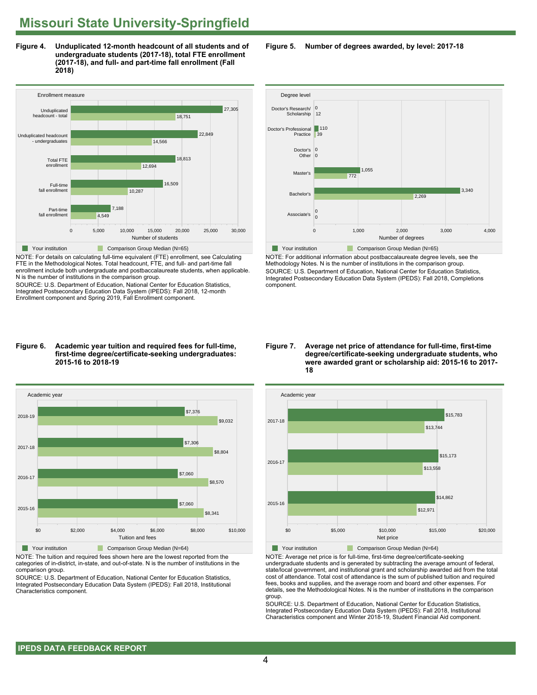**Figure 4. Unduplicated 12-month headcount of all students and of undergraduate students (2017-18), total FTE enrollment (2017-18), and full- and part-time fall enrollment (Fall 2018)**



NOTE: For details on calculating full-time equivalent (FTE) enrollment, see Calculating FTE in the Methodological Notes. Total headcount, FTE, and full- and part-time fall enrollment include both undergraduate and postbaccalaureate students, when applicable. N is the number of institutions in the comparison group.

SOURCE: U.S. Department of Education, National Center for Education Statistics, Integrated Postsecondary Education Data System (IPEDS): Fall 2018, 12-month Enrollment component and Spring 2019, Fall Enrollment component.

#### **Figure 6. Academic year tuition and required fees for full-time, first-time degree/certificate-seeking undergraduates: 2015-16 to 2018-19**



NOTE: The tuition and required fees shown here are the lowest reported from the categories of in-district, in-state, and out-of-state. N is the number of institutions in the comparison group.

SOURCE: U.S. Department of Education, National Center for Education Statistics, Integrated Postsecondary Education Data System (IPEDS): Fall 2018, Institutional Characteristics component.

**Figure 5. Number of degrees awarded, by level: 2017-18**



NOTE: For additional information about postbaccalaureate degree levels, see the Methodology Notes. N is the number of institutions in the comparison group. SOURCE: U.S. Department of Education, National Center for Education Statistics, Integrated Postsecondary Education Data System (IPEDS): Fall 2018, Completions component.

**Figure 7. Average net price of attendance for full-time, first-time degree/certificate-seeking undergraduate students, who were awarded grant or scholarship aid: 2015-16 to 2017- 18**



NOTE: Average net price is for full-time, first-time degree/certificate-seeking undergraduate students and is generated by subtracting the average amount of federal, state/local government, and institutional grant and scholarship awarded aid from the total cost of attendance. Total cost of attendance is the sum of published tuition and required fees, books and supplies, and the average room and board and other expenses. For details, see the Methodological Notes. N is the number of institutions in the comparison group.

SOURCE: U.S. Department of Education, National Center for Education Statistics, Integrated Postsecondary Education Data System (IPEDS): Fall 2018, Institutional Characteristics component and Winter 2018-19, Student Financial Aid component.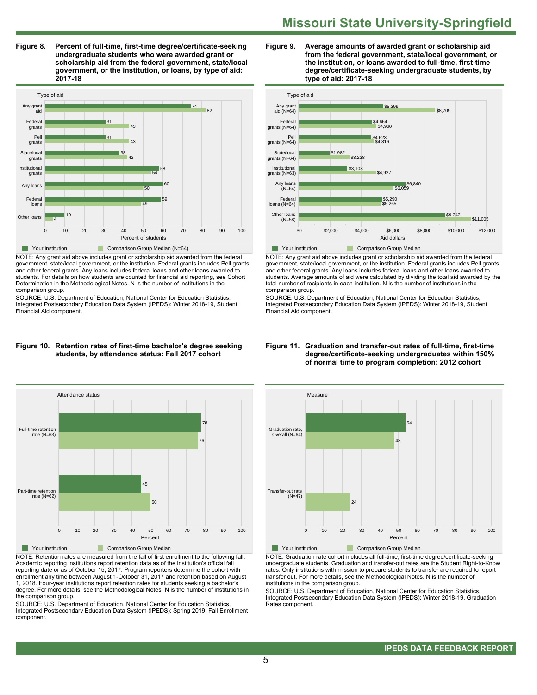**Figure 8. Percent of full-time, first-time degree/certificate-seeking undergraduate students who were awarded grant or scholarship aid from the federal government, state/local government, or the institution, or loans, by type of aid: 2017-18**



NOTE: Any grant aid above includes grant or scholarship aid awarded from the federal government, state/local government, or the institution. Federal grants includes Pell grants and other federal grants. Any loans includes federal loans and other loans awarded to students. For details on how students are counted for financial aid reporting, see Cohort Determination in the Methodological Notes. N is the number of institutions in the comparison group.

SOURCE: U.S. Department of Education, National Center for Education Statistics, Integrated Postsecondary Education Data System (IPEDS): Winter 2018-19, Student Financial Aid component.

#### **Figure 10. Retention rates of first-time bachelor's degree seeking students, by attendance status: Fall 2017 cohort**



NOTE: Retention rates are measured from the fall of first enrollment to the following fall. Academic reporting institutions report retention data as of the institution's official fall reporting date or as of October 15, 2017. Program reporters determine the cohort with enrollment any time between August 1-October 31, 2017 and retention based on August 1, 2018. Four-year institutions report retention rates for students seeking a bachelor's degree. For more details, see the Methodological Notes. N is the number of institutions in the comparison group.

SOURCE: U.S. Department of Education, National Center for Education Statistics, Integrated Postsecondary Education Data System (IPEDS): Spring 2019, Fall Enrollment component.





NOTE: Any grant aid above includes grant or scholarship aid awarded from the federal government, state/local government, or the institution. Federal grants includes Pell grants and other federal grants. Any loans includes federal loans and other loans awarded to students. Average amounts of aid were calculated by dividing the total aid awarded by the total number of recipients in each institution. N is the number of institutions in the comparison group.

SOURCE: U.S. Department of Education, National Center for Education Statistics, Integrated Postsecondary Education Data System (IPEDS): Winter 2018-19, Student Financial Aid component.



NOTE: Graduation rate cohort includes all full-time, first-time degree/certificate-seeking undergraduate students. Graduation and transfer-out rates are the Student Right-to-Know rates. Only institutions with mission to prepare students to transfer are required to report transfer out. For more details, see the Methodological Notes. N is the number of institutions in the comparison group.

SOURCE: U.S. Department of Education, National Center for Education Statistics, Integrated Postsecondary Education Data System (IPEDS): Winter 2018-19, Graduation Rates component.

#### **Figure 11. Graduation and transfer-out rates of full-time, first-time degree/certificate-seeking undergraduates within 150% of normal time to program completion: 2012 cohort**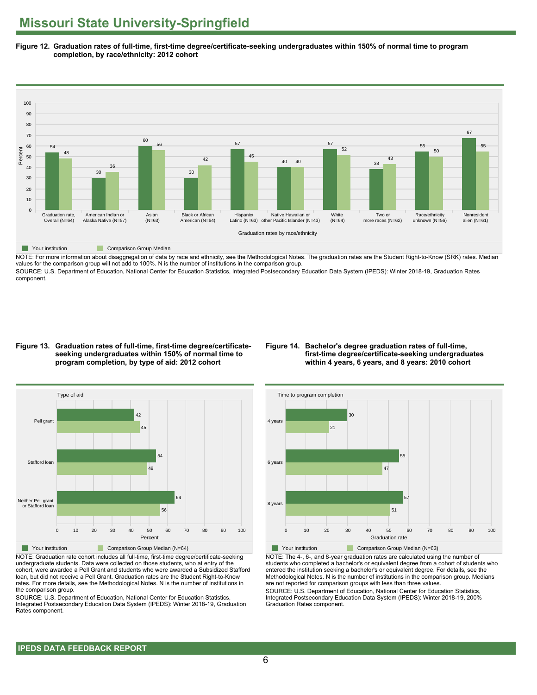**Figure 12. Graduation rates of full-time, first-time degree/certificate-seeking undergraduates within 150% of normal time to program completion, by race/ethnicity: 2012 cohort**



NOTE: For more information about disaggregation of data by race and ethnicity, see the Methodological Notes. The graduation rates are the Student Right-to-Know (SRK) rates. Median values for the comparison group will not add to 100%. N is the number of institutions in the comparison group.

SOURCE: U.S. Department of Education, National Center for Education Statistics, Integrated Postsecondary Education Data System (IPEDS): Winter 2018-19, Graduation Rates component.

### **Figure 13. Graduation rates of full-time, first-time degree/certificateseeking undergraduates within 150% of normal time to program completion, by type of aid: 2012 cohort**

## **Figure 14. Bachelor's degree graduation rates of full-time, first-time degree/certificate-seeking undergraduates within 4 years, 6 years, and 8 years: 2010 cohort**



NOTE: Graduation rate cohort includes all full-time, first-time degree/certificate-seeking undergraduate students. Data were collected on those students, who at entry of the cohort, were awarded a Pell Grant and students who were awarded a Subsidized Stafford loan, but did not receive a Pell Grant. Graduation rates are the Student Right-to-Know rates. For more details, see the Methodological Notes. N is the number of institutions in the comparison group.

SOURCE: U.S. Department of Education, National Center for Education Statistics, Integrated Postsecondary Education Data System (IPEDS): Winter 2018-19, Graduation Rates component.



NOTE: The 4-, 6-, and 8-year graduation rates are calculated using the number of students who completed a bachelor's or equivalent degree from a cohort of students who entered the institution seeking a bachelor's or equivalent degree. For details, see the Methodological Notes. N is the number of institutions in the comparison group. Medians are not reported for comparison groups with less than three values.

SOURCE: U.S. Department of Education, National Center for Education Statistics, Integrated Postsecondary Education Data System (IPEDS): Winter 2018-19, 200% Graduation Rates component.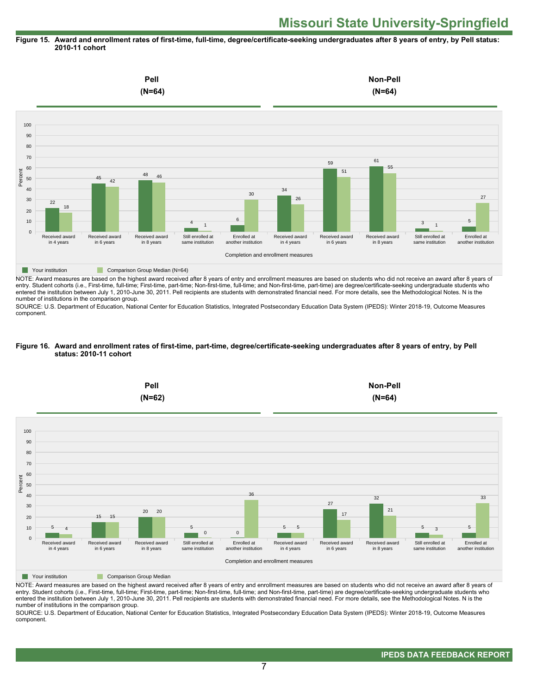## **Figure 15. Award and enrollment rates of first-time, full-time, degree/certificate-seeking undergraduates after 8 years of entry, by Pell status: 2010-11 cohort**



NOTE: Award measures are based on the highest award received after 8 years of entry and enrollment measures are based on students who did not receive an award after 8 years of entry. Student cohorts (i.e., First-time, full-time; First-time, part-time; Non-first-time, full-time; and Non-first-time, part-time) are degree/certificate-seeking undergraduate students who entered the institution between July 1, 2010-June 30, 2011. Pell recipients are students with demonstrated financial need. For more details, see the Methodological Notes. N is the number of institutions in the comparison group.

SOURCE: U.S. Department of Education, National Center for Education Statistics, Integrated Postsecondary Education Data System (IPEDS): Winter 2018-19, Outcome Measures component.

### **Figure 16. Award and enrollment rates of first-time, part-time, degree/certificate-seeking undergraduates after 8 years of entry, by Pell status: 2010-11 cohort**



NOTE: Award measures are based on the highest award received after 8 years of entry and enrollment measures are based on students who did not receive an award after 8 years of entry. Student cohorts (i.e., First-time, full-time; First-time, part-time; Non-first-time, full-time; and Non-first-time, part-time) are degree/certificate-seeking undergraduate students who entered the institution between July 1, 2010-June 30, 2011. Pell recipients are students with demonstrated financial need. For more details, see the Methodological Notes. N is the number of institutions in the comparison group.

SOURCE: U.S. Department of Education, National Center for Education Statistics, Integrated Postsecondary Education Data System (IPEDS): Winter 2018-19, Outcome Measures component.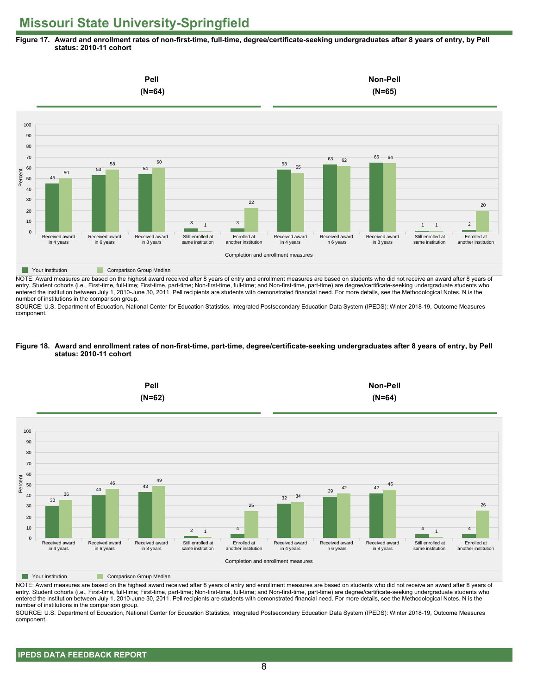**Figure 17. Award and enrollment rates of non-first-time, full-time, degree/certificate-seeking undergraduates after 8 years of entry, by Pell status: 2010-11 cohort**



NOTE: Award measures are based on the highest award received after 8 years of entry and enrollment measures are based on students who did not receive an award after 8 years of entry. Student cohorts (i.e., First-time, full-time; First-time, part-time; Non-first-time, full-time; and Non-first-time, part-time) are degree/certificate-seeking undergraduate students who entered the institution between July 1, 2010-June 30, 2011. Pell recipients are students with demonstrated financial need. For more details, see the Methodological Notes. N is the number of institutions in the comparison group.

SOURCE: U.S. Department of Education, National Center for Education Statistics, Integrated Postsecondary Education Data System (IPEDS): Winter 2018-19, Outcome Measures component.

### **Figure 18. Award and enrollment rates of non-first-time, part-time, degree/certificate-seeking undergraduates after 8 years of entry, by Pell status: 2010-11 cohort**



NOTE: Award measures are based on the highest award received after 8 years of entry and enrollment measures are based on students who did not receive an award after 8 years of entry. Student cohorts (i.e., First-time, full-time; First-time, part-time; Non-first-time, full-time; and Non-first-time, part-time) are degree/certificate-seeking undergraduate students who entered the institution between July 1, 2010-June 30, 2011. Pell recipients are students with demonstrated financial need. For more details, see the Methodological Notes. N is the number of institutions in the comparison group.

SOURCE: U.S. Department of Education, National Center for Education Statistics, Integrated Postsecondary Education Data System (IPEDS): Winter 2018-19, Outcome Measures component.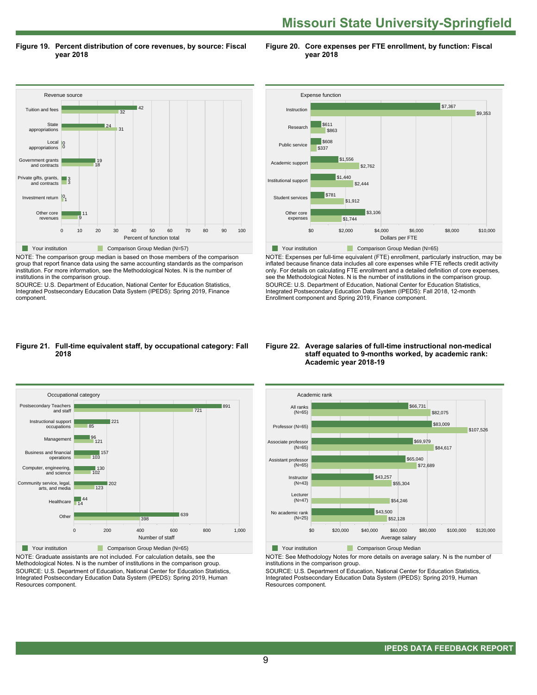**Figure 19. Percent distribution of core revenues, by source: Fiscal year 2018**

**Figure 20. Core expenses per FTE enrollment, by function: Fiscal year 2018**



NOTE: The comparison group median is based on those members of the comparison group that report finance data using the same accounting standards as the comparison institution. For more information, see the Methodological Notes. N is the number of institutions in the comparison group.

SOURCE: U.S. Department of Education, National Center for Education Statistics, Integrated Postsecondary Education Data System (IPEDS): Spring 2019, Finance component.



NOTE: Expenses per full-time equivalent (FTE) enrollment, particularly instruction, may be inflated because finance data includes all core expenses while FTE reflects credit activity only. For details on calculating FTE enrollment and a detailed definition of core expenses, see the Methodological Notes. N is the number of institutions in the comparison group. SOURCE: U.S. Department of Education, National Center for Education Statistics, Integrated Postsecondary Education Data System (IPEDS): Fall 2018, 12-month Enrollment component and Spring 2019, Finance component.

### **Figure 21. Full-time equivalent staff, by occupational category: Fall 2018**



NOTE: Graduate assistants are not included. For calculation details, see the Methodological Notes. N is the number of institutions in the comparison group. SOURCE: U.S. Department of Education, National Center for Education Statistics, Integrated Postsecondary Education Data System (IPEDS): Spring 2019, Human Resources component.

### **Figure 22. Average salaries of full-time instructional non-medical staff equated to 9-months worked, by academic rank: Academic year 2018-19**



**The Comparison Group Median** 

NOTE: See Methodology Notes for more details on average salary. N is the number of institutions in the comparison group.

SOURCE: U.S. Department of Education, National Center for Education Statistics, Integrated Postsecondary Education Data System (IPEDS): Spring 2019, Human Resources component.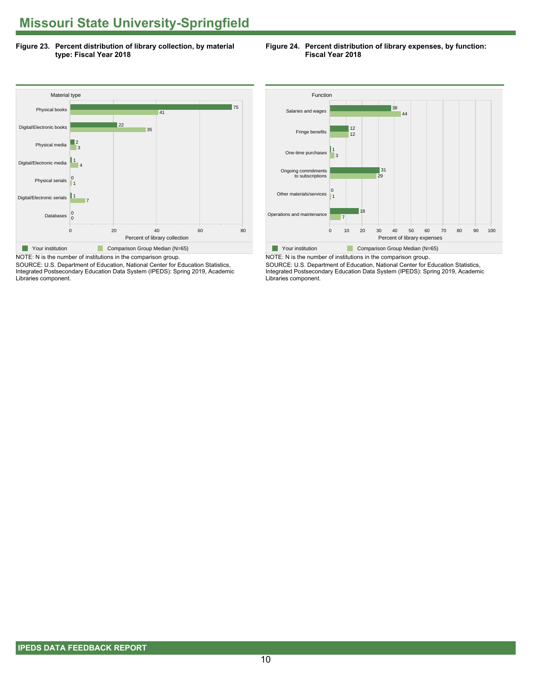**Figure 23. Percent distribution of library collection, by material type: Fiscal Year 2018**





SOURCE: U.S. Department of Education, National Center for Education Statistics, Integrated Postsecondary Education Data System (IPEDS): Spring 2019, Academic Libraries component.

![](_page_9_Figure_5.jpeg)

NOTE: N is the number of institutions in the comparison group. SOURCE: U.S. Department of Education, National Center for Education Statistics, Integrated Postsecondary Education Data System (IPEDS): Spring 2019, Academic Libraries component.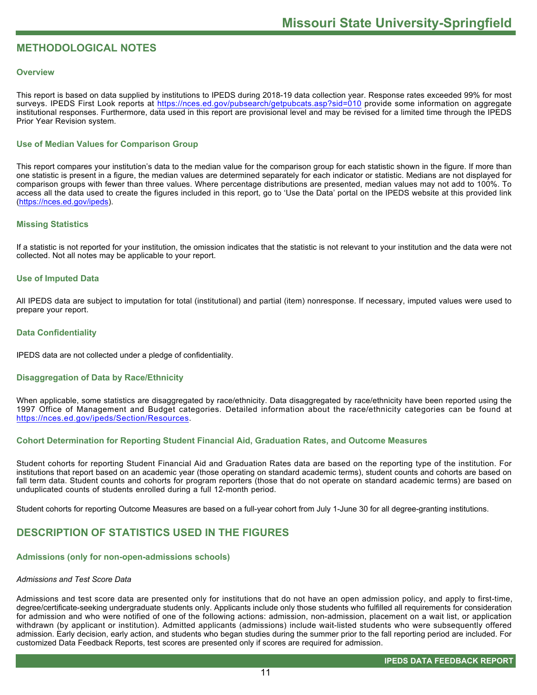## **METHODOLOGICAL NOTES**

## **Overview**

This report is based on data supplied by institutions to IPEDS during 2018-19 data collection year. Response rates exceeded 99% for most surveys. IPEDS First Look reports at https://nces.ed.gov/pubsearch/getpubcats.asp?sid=010 provide some information on aggregate institutional responses. Furthermore, data used in this report are provisional level and may be revised for a limited time through the IPEDS Prior Year Revision system.

## **Use of Median Values for Comparison Group**

This report compares your institution's data to the median value for the comparison group for each statistic shown in the figure. If more than one statistic is present in a figure, the median values are determined separately for each indicator or statistic. Medians are not displayed for comparison groups with fewer than three values. Where percentage distributions are presented, median values may not add to 100%. To access all the data used to create the figures included in this report, go to 'Use the Data' portal on the IPEDS website at this provided link (https://nces.ed.gov/ipeds).

## **Missing Statistics**

If a statistic is not reported for your institution, the omission indicates that the statistic is not relevant to your institution and the data were not collected. Not all notes may be applicable to your report.

## **Use of Imputed Data**

All IPEDS data are subject to imputation for total (institutional) and partial (item) nonresponse. If necessary, imputed values were used to prepare your report.

## **Data Confidentiality**

IPEDS data are not collected under a pledge of confidentiality.

## **Disaggregation of Data by Race/Ethnicity**

When applicable, some statistics are disaggregated by race/ethnicity. Data disaggregated by race/ethnicity have been reported using the 1997 Office of Management and Budget categories. Detailed information about the race/ethnicity categories can be found at https://nces.ed.gov/ipeds/Section/Resources.

## **Cohort Determination for Reporting Student Financial Aid, Graduation Rates, and Outcome Measures**

Student cohorts for reporting Student Financial Aid and Graduation Rates data are based on the reporting type of the institution. For institutions that report based on an academic year (those operating on standard academic terms), student counts and cohorts are based on fall term data. Student counts and cohorts for program reporters (those that do not operate on standard academic terms) are based on unduplicated counts of students enrolled during a full 12-month period.

Student cohorts for reporting Outcome Measures are based on a full-year cohort from July 1-June 30 for all degree-granting institutions.

## **DESCRIPTION OF STATISTICS USED IN THE FIGURES**

## **Admissions (only for non-open-admissions schools)**

## *Admissions and Test Score Data*

Admissions and test score data are presented only for institutions that do not have an open admission policy, and apply to first-time, degree/certificate-seeking undergraduate students only. Applicants include only those students who fulfilled all requirements for consideration for admission and who were notified of one of the following actions: admission, non-admission, placement on a wait list, or application withdrawn (by applicant or institution). Admitted applicants (admissions) include wait-listed students who were subsequently offered admission. Early decision, early action, and students who began studies during the summer prior to the fall reporting period are included. For customized Data Feedback Reports, test scores are presented only if scores are required for admission.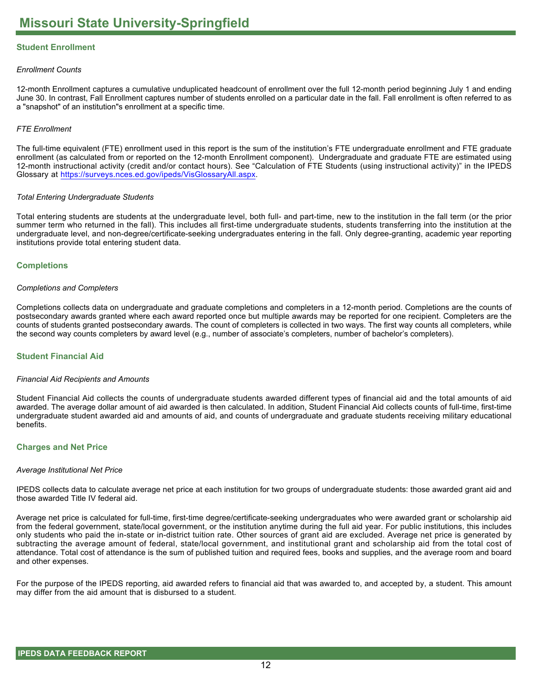## **Student Enrollment**

## *Enrollment Counts*

12-month Enrollment captures a cumulative unduplicated headcount of enrollment over the full 12-month period beginning July 1 and ending June 30. In contrast, Fall Enrollment captures number of students enrolled on a particular date in the fall. Fall enrollment is often referred to as a "snapshot" of an institution"s enrollment at a specific time.

## *FTE Enrollment*

The full-time equivalent (FTE) enrollment used in this report is the sum of the institution's FTE undergraduate enrollment and FTE graduate enrollment (as calculated from or reported on the 12-month Enrollment component). Undergraduate and graduate FTE are estimated using 12-month instructional activity (credit and/or contact hours). See "Calculation of FTE Students (using instructional activity)" in the IPEDS Glossary at https://surveys.nces.ed.gov/ipeds/VisGlossaryAll.aspx.

## *Total Entering Undergraduate Students*

Total entering students are students at the undergraduate level, both full- and part-time, new to the institution in the fall term (or the prior summer term who returned in the fall). This includes all first-time undergraduate students, students transferring into the institution at the undergraduate level, and non-degree/certificate-seeking undergraduates entering in the fall. Only degree-granting, academic year reporting institutions provide total entering student data.

## **Completions**

## *Completions and Completers*

Completions collects data on undergraduate and graduate completions and completers in a 12-month period. Completions are the counts of postsecondary awards granted where each award reported once but multiple awards may be reported for one recipient. Completers are the counts of students granted postsecondary awards. The count of completers is collected in two ways. The first way counts all completers, while the second way counts completers by award level (e.g., number of associate's completers, number of bachelor's completers).

## **Student Financial Aid**

## *Financial Aid Recipients and Amounts*

Student Financial Aid collects the counts of undergraduate students awarded different types of financial aid and the total amounts of aid awarded. The average dollar amount of aid awarded is then calculated. In addition, Student Financial Aid collects counts of full-time, first-time undergraduate student awarded aid and amounts of aid, and counts of undergraduate and graduate students receiving military educational benefits.

## **Charges and Net Price**

## *Average Institutional Net Price*

IPEDS collects data to calculate average net price at each institution for two groups of undergraduate students: those awarded grant aid and those awarded Title IV federal aid.

Average net price is calculated for full-time, first-time degree/certificate-seeking undergraduates who were awarded grant or scholarship aid from the federal government, state/local government, or the institution anytime during the full aid year. For public institutions, this includes only students who paid the in-state or in-district tuition rate. Other sources of grant aid are excluded. Average net price is generated by subtracting the average amount of federal, state/local government, and institutional grant and scholarship aid from the total cost of attendance. Total cost of attendance is the sum of published tuition and required fees, books and supplies, and the average room and board and other expenses.

For the purpose of the IPEDS reporting, aid awarded refers to financial aid that was awarded to, and accepted by, a student. This amount may differ from the aid amount that is disbursed to a student.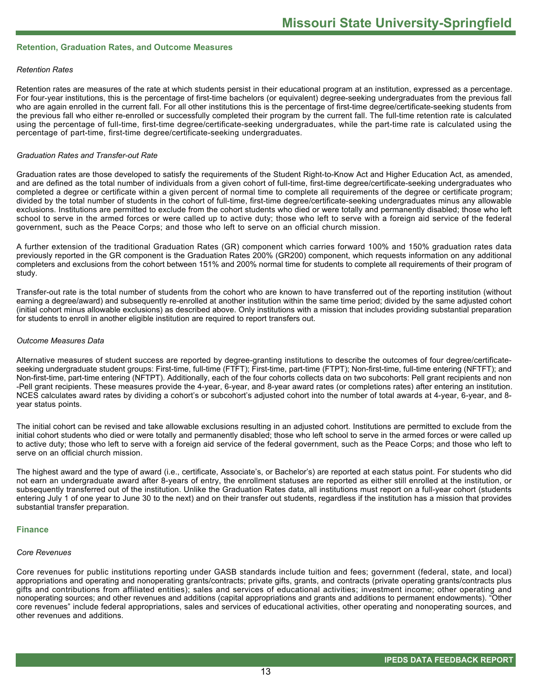## **Retention, Graduation Rates, and Outcome Measures**

## *Retention Rates*

Retention rates are measures of the rate at which students persist in their educational program at an institution, expressed as a percentage. For four-year institutions, this is the percentage of first-time bachelors (or equivalent) degree-seeking undergraduates from the previous fall who are again enrolled in the current fall. For all other institutions this is the percentage of first-time degree/certificate-seeking students from the previous fall who either re-enrolled or successfully completed their program by the current fall. The full-time retention rate is calculated using the percentage of full-time, first-time degree/certificate-seeking undergraduates, while the part-time rate is calculated using the percentage of part-time, first-time degree/certificate-seeking undergraduates.

### *Graduation Rates and Transfer-out Rate*

Graduation rates are those developed to satisfy the requirements of the Student Right-to-Know Act and Higher Education Act, as amended, and are defined as the total number of individuals from a given cohort of full-time, first-time degree/certificate-seeking undergraduates who completed a degree or certificate within a given percent of normal time to complete all requirements of the degree or certificate program; divided by the total number of students in the cohort of full-time, first-time degree/certificate-seeking undergraduates minus any allowable exclusions. Institutions are permitted to exclude from the cohort students who died or were totally and permanently disabled; those who left school to serve in the armed forces or were called up to active duty; those who left to serve with a foreign aid service of the federal government, such as the Peace Corps; and those who left to serve on an official church mission.

A further extension of the traditional Graduation Rates (GR) component which carries forward 100% and 150% graduation rates data previously reported in the GR component is the Graduation Rates 200% (GR200) component, which requests information on any additional completers and exclusions from the cohort between 151% and 200% normal time for students to complete all requirements of their program of study.

Transfer-out rate is the total number of students from the cohort who are known to have transferred out of the reporting institution (without earning a degree/award) and subsequently re-enrolled at another institution within the same time period; divided by the same adjusted cohort (initial cohort minus allowable exclusions) as described above. Only institutions with a mission that includes providing substantial preparation for students to enroll in another eligible institution are required to report transfers out.

### *Outcome Measures Data*

Alternative measures of student success are reported by degree-granting institutions to describe the outcomes of four degree/certificateseeking undergraduate student groups: First-time, full-time (FTFT); First-time, part-time (FTPT); Non-first-time, full-time entering (NFTFT); and Non-first-time, part-time entering (NFTPT). Additionally, each of the four cohorts collects data on two subcohorts: Pell grant recipients and non -Pell grant recipients. These measures provide the 4-year, 6-year, and 8-year award rates (or completions rates) after entering an institution. NCES calculates award rates by dividing a cohort's or subcohort's adjusted cohort into the number of total awards at 4-year, 6-year, and 8year status points.

The initial cohort can be revised and take allowable exclusions resulting in an adjusted cohort. Institutions are permitted to exclude from the initial cohort students who died or were totally and permanently disabled; those who left school to serve in the armed forces or were called up to active duty; those who left to serve with a foreign aid service of the federal government, such as the Peace Corps; and those who left to serve on an official church mission.

The highest award and the type of award (i.e., certificate, Associate's, or Bachelor's) are reported at each status point. For students who did not earn an undergraduate award after 8-years of entry, the enrollment statuses are reported as either still enrolled at the institution, or subsequently transferred out of the institution. Unlike the Graduation Rates data, all institutions must report on a full-year cohort (students entering July 1 of one year to June 30 to the next) and on their transfer out students, regardless if the institution has a mission that provides substantial transfer preparation.

#### **Finance**

#### *Core Revenues*

Core revenues for public institutions reporting under GASB standards include tuition and fees; government (federal, state, and local) appropriations and operating and nonoperating grants/contracts; private gifts, grants, and contracts (private operating grants/contracts plus gifts and contributions from affiliated entities); sales and services of educational activities; investment income; other operating and nonoperating sources; and other revenues and additions (capital appropriations and grants and additions to permanent endowments). "Other core revenues" include federal appropriations, sales and services of educational activities, other operating and nonoperating sources, and other revenues and additions.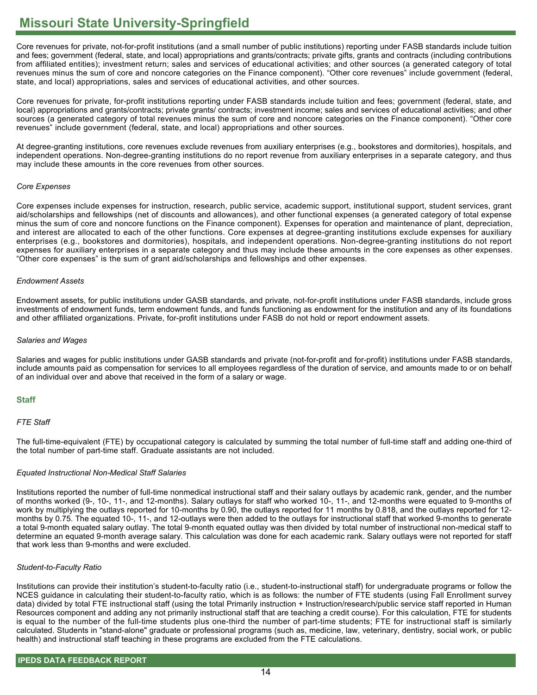Core revenues for private, not-for-profit institutions (and a small number of public institutions) reporting under FASB standards include tuition and fees; government (federal, state, and local) appropriations and grants/contracts; private gifts, grants and contracts (including contributions from affiliated entities); investment return; sales and services of educational activities; and other sources (a generated category of total revenues minus the sum of core and noncore categories on the Finance component). "Other core revenues" include government (federal, state, and local) appropriations, sales and services of educational activities, and other sources.

Core revenues for private, for-profit institutions reporting under FASB standards include tuition and fees; government (federal, state, and local) appropriations and grants/contracts; private grants/ contracts; investment income; sales and services of educational activities; and other sources (a generated category of total revenues minus the sum of core and noncore categories on the Finance component). "Other core revenues" include government (federal, state, and local) appropriations and other sources.

At degree-granting institutions, core revenues exclude revenues from auxiliary enterprises (e.g., bookstores and dormitories), hospitals, and independent operations. Non-degree-granting institutions do no report revenue from auxiliary enterprises in a separate category, and thus may include these amounts in the core revenues from other sources.

## *Core Expenses*

Core expenses include expenses for instruction, research, public service, academic support, institutional support, student services, grant aid/scholarships and fellowships (net of discounts and allowances), and other functional expenses (a generated category of total expense minus the sum of core and noncore functions on the Finance component). Expenses for operation and maintenance of plant, depreciation, and interest are allocated to each of the other functions. Core expenses at degree-granting institutions exclude expenses for auxiliary enterprises (e.g., bookstores and dormitories), hospitals, and independent operations. Non-degree-granting institutions do not report expenses for auxiliary enterprises in a separate category and thus may include these amounts in the core expenses as other expenses. "Other core expenses" is the sum of grant aid/scholarships and fellowships and other expenses.

## *Endowment Assets*

Endowment assets, for public institutions under GASB standards, and private, not-for-profit institutions under FASB standards, include gross investments of endowment funds, term endowment funds, and funds functioning as endowment for the institution and any of its foundations and other affiliated organizations. Private, for-profit institutions under FASB do not hold or report endowment assets.

## *Salaries and Wages*

Salaries and wages for public institutions under GASB standards and private (not-for-profit and for-profit) institutions under FASB standards, include amounts paid as compensation for services to all employees regardless of the duration of service, and amounts made to or on behalf of an individual over and above that received in the form of a salary or wage.

## **Staff**

## *FTE Staff*

The full-time-equivalent (FTE) by occupational category is calculated by summing the total number of full-time staff and adding one-third of the total number of part-time staff. Graduate assistants are not included.

## *Equated Instructional Non-Medical Staff Salaries*

Institutions reported the number of full-time nonmedical instructional staff and their salary outlays by academic rank, gender, and the number of months worked (9-, 10-, 11-, and 12-months). Salary outlays for staff who worked 10-, 11-, and 12-months were equated to 9-months of work by multiplying the outlays reported for 10-months by 0.90, the outlays reported for 11 months by 0.818, and the outlays reported for 12 months by 0.75. The equated 10-, 11-, and 12-outlays were then added to the outlays for instructional staff that worked 9-months to generate a total 9-month equated salary outlay. The total 9-month equated outlay was then divided by total number of instructional non-medical staff to determine an equated 9-month average salary. This calculation was done for each academic rank. Salary outlays were not reported for staff that work less than 9-months and were excluded.

## *Student-to-Faculty Ratio*

Institutions can provide their institution's student-to-faculty ratio (i.e., student-to-instructional staff) for undergraduate programs or follow the NCES guidance in calculating their student-to-faculty ratio, which is as follows: the number of FTE students (using Fall Enrollment survey data) divided by total FTE instructional staff (using the total Primarily instruction + Instruction/research/public service staff reported in Human Resources component and adding any not primarily instructional staff that are teaching a credit course). For this calculation, FTE for students is equal to the number of the full-time students plus one-third the number of part-time students; FTE for instructional staff is similarly calculated. Students in "stand-alone" graduate or professional programs (such as, medicine, law, veterinary, dentistry, social work, or public health) and instructional staff teaching in these programs are excluded from the FTE calculations.